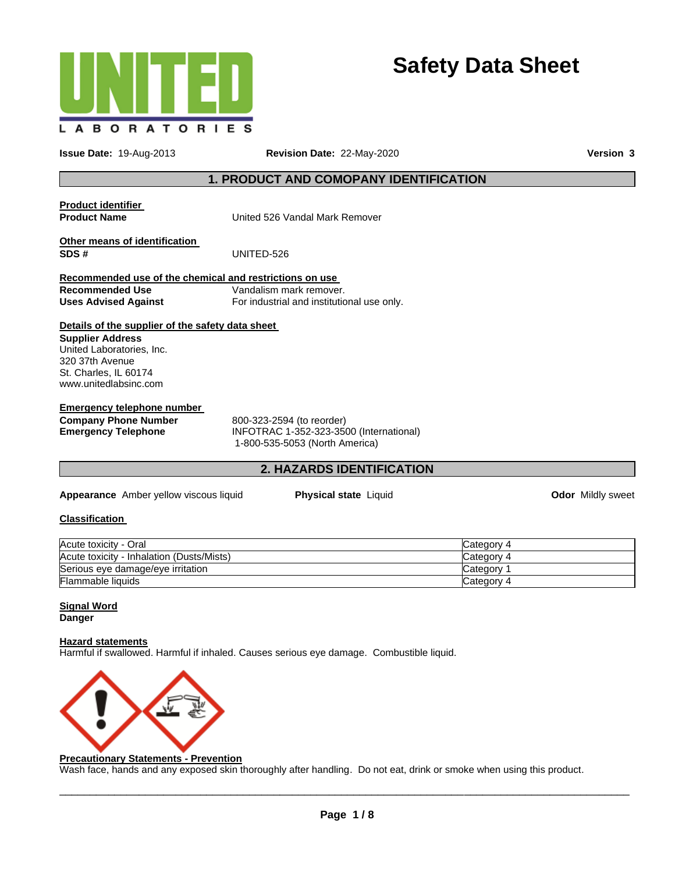

# **Safety Data Sheet**

**Issue Date:** 19-Aug-2013 **Revision Date:** 22-May-2020 **Version 3**

# **1. PRODUCT AND COMOPANY IDENTIFICATION**

| <b>Product identifier</b><br><b>Product Name</b>        | United 526 Vandal Mark Remover             |  |
|---------------------------------------------------------|--------------------------------------------|--|
| <b>Other means of identification</b><br>SDS #           | UNITED-526                                 |  |
| Recommended use of the chemical and restrictions on use |                                            |  |
| <b>Recommended Use</b>                                  | Vandalism mark remover.                    |  |
| <b>Uses Advised Against</b>                             | For industrial and institutional use only. |  |
| Details of the supplier of the safety data sheet        |                                            |  |
| <b>Supplier Address</b>                                 |                                            |  |
| United Laboratories, Inc.                               |                                            |  |
| 320 37th Avenue                                         |                                            |  |
| St. Charles, IL 60174                                   |                                            |  |
| www.unitedlabsinc.com                                   |                                            |  |
| <b>Emergency telephone number</b>                       |                                            |  |
| <b>Company Phone Number</b>                             | 800-323-2594 (to reorder)                  |  |
|                                                         |                                            |  |

**Emergency Telephone** INFOTRAC 1-352-323-3500 (International) 1-800-535-5053 (North America)

# **2. HAZARDS IDENTIFICATION**

**Appearance** Amber yellow viscous liquid **Physical state** Liquid **Odor** Mildly sweet

### **Classification**

| Acute toxicity - Oral                     | Category 4  |
|-------------------------------------------|-------------|
| Acute toxicity - Inhalation (Dusts/Mists) | Category    |
| Serious eye damage/eye irritation         | ان categorv |
| <b>Flammable liquids</b>                  | Category 4  |

### **Signal Word Danger**

# **Hazard statements**

Harmful if swallowed. Harmful if inhaled. Causes serious eye damage. Combustible liquid.



### **Precautionary Statements - Prevention**

Wash face, hands and any exposed skin thoroughly after handling. Do not eat, drink or smoke when using this product.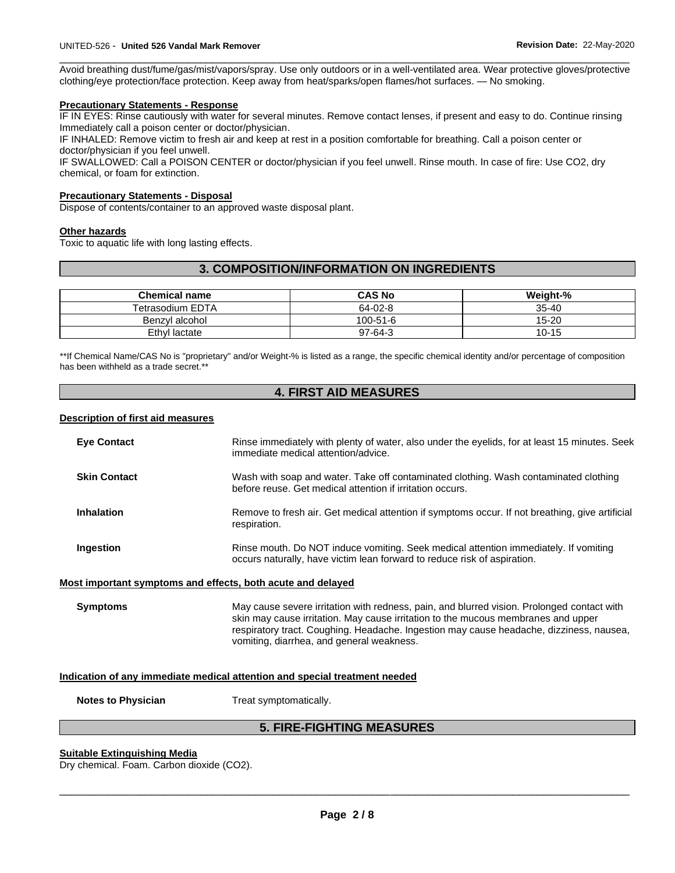\_\_\_\_\_\_\_\_\_\_\_\_\_\_\_\_\_\_\_\_\_\_\_\_\_\_\_\_\_\_\_\_\_\_\_\_\_\_\_\_\_\_\_\_\_\_\_\_\_\_\_\_\_\_\_\_\_\_\_\_\_\_\_\_\_\_\_\_\_\_\_\_\_\_\_\_\_\_\_\_\_\_\_\_\_\_\_\_\_\_\_\_\_ Avoid breathing dust/fume/gas/mist/vapors/spray. Use only outdoors or in a well-ventilated area. Wear protective gloves/protective clothing/eye protection/face protection. Keep away from heat/sparks/open flames/hot surfaces. — No smoking.

#### **Precautionary Statements - Response**

IF IN EYES: Rinse cautiously with water for several minutes. Remove contact lenses, if present and easy to do. Continue rinsing Immediately call a poison center or doctor/physician.

IF INHALED: Remove victim to fresh air and keep at rest in a position comfortable for breathing. Call a poison center or doctor/physician if you feel unwell.

IF SWALLOWED: Call a POISON CENTER or doctor/physician if you feel unwell. Rinse mouth. In case of fire: Use CO2, dry chemical, or foam for extinction.

#### **Precautionary Statements - Disposal**

Dispose of contents/container to an approved waste disposal plant.

#### **Other hazards**

Toxic to aquatic life with long lasting effects.

# **3. COMPOSITION/INFORMATION ON INGREDIENTS**

| <b>Chemical name</b>    | <b>CAS No</b> | Weight-%  |
|-------------------------|---------------|-----------|
| <b>Tetrasodium EDTA</b> | 64-02-8       | $35 - 40$ |
| Benzvl alcohol          | 100-51-6      | $15 - 20$ |
| Ethyl lactate           | $97-64-3$     | $10 - 15$ |

\*\*If Chemical Name/CAS No is "proprietary" and/or Weight-% is listed as a range, the specific chemical identity and/or percentage of composition has been withheld as a trade secret.\*\*

# **4. FIRST AID MEASURES**

#### **Description of first aid measures**

| <b>Eye Contact</b>                                                         | Rinse immediately with plenty of water, also under the eyelids, for at least 15 minutes. Seek                                                                                                                                                                                                                           |  |  |
|----------------------------------------------------------------------------|-------------------------------------------------------------------------------------------------------------------------------------------------------------------------------------------------------------------------------------------------------------------------------------------------------------------------|--|--|
|                                                                            | immediate medical attention/advice.                                                                                                                                                                                                                                                                                     |  |  |
| <b>Skin Contact</b>                                                        | Wash with soap and water. Take off contaminated clothing. Wash contaminated clothing<br>before reuse. Get medical attention if irritation occurs.                                                                                                                                                                       |  |  |
| <b>Inhalation</b>                                                          | Remove to fresh air. Get medical attention if symptoms occur. If not breathing, give artificial<br>respiration.                                                                                                                                                                                                         |  |  |
| Ingestion                                                                  | Rinse mouth. Do NOT induce vomiting. Seek medical attention immediately. If vomiting<br>occurs naturally, have victim lean forward to reduce risk of aspiration.                                                                                                                                                        |  |  |
| Most important symptoms and effects, both acute and delayed                |                                                                                                                                                                                                                                                                                                                         |  |  |
| <b>Symptoms</b>                                                            | May cause severe irritation with redness, pain, and blurred vision. Prolonged contact with<br>skin may cause irritation. May cause irritation to the mucous membranes and upper<br>respiratory tract. Coughing. Headache. Ingestion may cause headache, dizziness, nausea,<br>vomiting, diarrhea, and general weakness. |  |  |
| Indication of any immediate medical attention and special treatment needed |                                                                                                                                                                                                                                                                                                                         |  |  |
| <b>Notes to Physician</b>                                                  | Treat symptomatically.                                                                                                                                                                                                                                                                                                  |  |  |
| <b>5. FIRE-FIGHTING MEASURES</b>                                           |                                                                                                                                                                                                                                                                                                                         |  |  |

#### **Suitable Extinguishing Media**

Dry chemical. Foam. Carbon dioxide (CO2).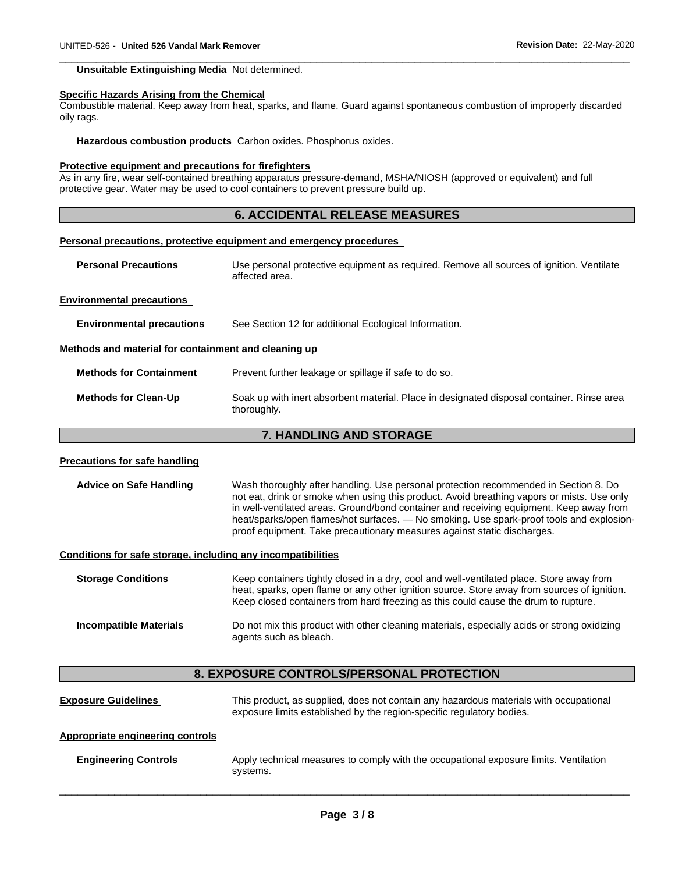#### **Unsuitable Extinguishing Media** Not determined.

#### **Specific Hazards Arising from the Chemical**

Combustible material. Keep away from heat, sparks, and flame. Guard against spontaneous combustion of improperly discarded oily rags.

\_\_\_\_\_\_\_\_\_\_\_\_\_\_\_\_\_\_\_\_\_\_\_\_\_\_\_\_\_\_\_\_\_\_\_\_\_\_\_\_\_\_\_\_\_\_\_\_\_\_\_\_\_\_\_\_\_\_\_\_\_\_\_\_\_\_\_\_\_\_\_\_\_\_\_\_\_\_\_\_\_\_\_\_\_\_\_\_\_\_\_\_\_

**Hazardous combustion products** Carbon oxides. Phosphorus oxides.

#### **Protective equipment and precautions for firefighters**

As in any fire, wear self-contained breathing apparatus pressure-demand, MSHA/NIOSH (approved or equivalent) and full protective gear. Water may be used to cool containers to prevent pressure build up.

### **6. ACCIDENTAL RELEASE MEASURES**

#### **Personal precautions, protective equipment and emergency procedures**

**Personal Precautions** Use personal protective equipment as required. Remove all sources of ignition. Ventilate affected area.

#### **Environmental precautions**

**Environmental precautions** See Section 12 for additional Ecological Information.

#### **Methods and material for containment and cleaning up**

**Methods for Containment** Prevent further leakage or spillage if safe to do so.

**Methods for Clean-Up** Soak up with inert absorbent material. Place in designated disposal container. Rinse area thoroughly.

#### **7. HANDLING AND STORAGE**

#### **Precautions for safe handling**

**Advice on Safe Handling** Wash thoroughly after handling. Use personal protection recommended in Section 8. Do not eat, drink or smoke when using this product. Avoid breathing vapors or mists. Use only in well-ventilated areas. Ground/bond container and receiving equipment. Keep away from heat/sparks/open flames/hot surfaces. — No smoking. Use spark-proof tools and explosionproof equipment. Take precautionary measures against static discharges.

#### **Conditions for safe storage, including any incompatibilities**

**Storage Conditions Keep containers tightly closed in a dry, cool and well-ventilated place. Store away from** heat, sparks, open flame or any other ignition source. Store away from sources of ignition. Keep closed containers from hard freezing as this could cause the drum to rupture. **Incompatible Materials** Do not mix this product with other cleaning materials, especially acids or strong oxidizing agents such as bleach.

### **8. EXPOSURE CONTROLS/PERSONAL PROTECTION**

**Exposure Guidelines** This product, as supplied, does not contain any hazardous materials with occupational exposure limits established by the region-specific regulatory bodies.

#### **Appropriate engineering controls**

**Engineering Controls Apply technical measures to comply with the occupational exposure limits. Ventilation** systems.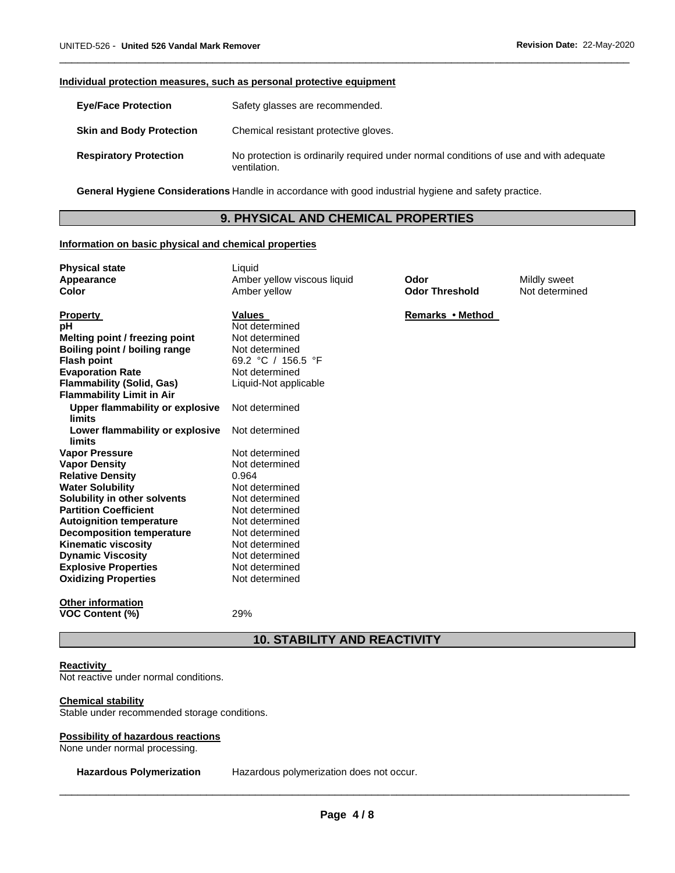#### **Individual protection measures, such as personal protective equipment**

| <b>Eve/Face Protection</b>      | Safety glasses are recommended.                                                                       |
|---------------------------------|-------------------------------------------------------------------------------------------------------|
| <b>Skin and Body Protection</b> | Chemical resistant protective gloves.                                                                 |
| <b>Respiratory Protection</b>   | No protection is ordinarily required under normal conditions of use and with adequate<br>ventilation. |

\_\_\_\_\_\_\_\_\_\_\_\_\_\_\_\_\_\_\_\_\_\_\_\_\_\_\_\_\_\_\_\_\_\_\_\_\_\_\_\_\_\_\_\_\_\_\_\_\_\_\_\_\_\_\_\_\_\_\_\_\_\_\_\_\_\_\_\_\_\_\_\_\_\_\_\_\_\_\_\_\_\_\_\_\_\_\_\_\_\_\_\_\_

**General Hygiene Considerations** Handle in accordance with good industrial hygiene and safety practice.

# **9. PHYSICAL AND CHEMICAL PROPERTIES**

#### **Information on basic physical and chemical properties**

| <b>Physical state</b><br>Appearance<br>Color            | Liquid<br>Amber yellow viscous liquid<br>Amber yellow | Odor<br><b>Odor Threshold</b> | Mildly sweet<br>Not determined |
|---------------------------------------------------------|-------------------------------------------------------|-------------------------------|--------------------------------|
| <b>Property</b>                                         | <b>Values</b>                                         | Remarks • Method              |                                |
| рH                                                      | Not determined                                        |                               |                                |
| Melting point / freezing point                          | Not determined                                        |                               |                                |
| Boiling point / boiling range                           | Not determined                                        |                               |                                |
| <b>Flash point</b>                                      | 69.2 °C / 156.5 °F                                    |                               |                                |
| <b>Evaporation Rate</b>                                 | Not determined                                        |                               |                                |
| <b>Flammability (Solid, Gas)</b>                        | Liquid-Not applicable                                 |                               |                                |
| <b>Flammability Limit in Air</b>                        |                                                       |                               |                                |
| <b>Upper flammability or explosive</b><br><b>limits</b> | Not determined                                        |                               |                                |
| Lower flammability or explosive<br>limits               | Not determined                                        |                               |                                |
| <b>Vapor Pressure</b>                                   | Not determined                                        |                               |                                |
| <b>Vapor Density</b>                                    | Not determined                                        |                               |                                |
| <b>Relative Density</b>                                 | 0.964                                                 |                               |                                |
| <b>Water Solubility</b>                                 | Not determined                                        |                               |                                |
| Solubility in other solvents                            | Not determined                                        |                               |                                |
| <b>Partition Coefficient</b>                            | Not determined                                        |                               |                                |
| <b>Autoignition temperature</b>                         | Not determined                                        |                               |                                |
| <b>Decomposition temperature</b>                        | Not determined                                        |                               |                                |
| <b>Kinematic viscosity</b>                              | Not determined                                        |                               |                                |
| <b>Dynamic Viscosity</b>                                | Not determined                                        |                               |                                |
| <b>Explosive Properties</b>                             | Not determined                                        |                               |                                |
| <b>Oxidizing Properties</b>                             | Not determined                                        |                               |                                |
| <b>Other information</b>                                |                                                       |                               |                                |
| <b>VOC Content (%)</b>                                  | 29%                                                   |                               |                                |
| <b>10. STABILITY AND REACTIVITY</b>                     |                                                       |                               |                                |

#### **Reactivity**

Not reactive under normal conditions.

#### **Chemical stability**

Stable under recommended storage conditions.

#### **Possibility of hazardous reactions**

None under normal processing.

**Hazardous Polymerization** Hazardous polymerization does not occur.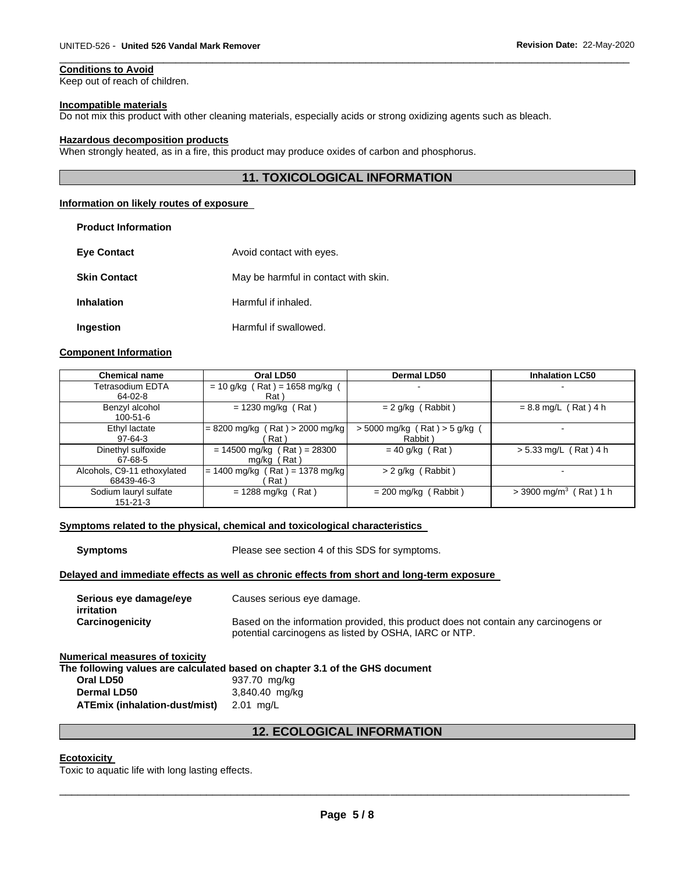# **Conditions to Avoid**

Keep out of reach of children.

#### **Incompatible materials**

Do not mix this product with other cleaning materials, especially acids or strong oxidizing agents such as bleach.

#### **Hazardous decomposition products**

When strongly heated, as in a fire, this product may produce oxides of carbon and phosphorus.

# **11. TOXICOLOGICAL INFORMATION**

\_\_\_\_\_\_\_\_\_\_\_\_\_\_\_\_\_\_\_\_\_\_\_\_\_\_\_\_\_\_\_\_\_\_\_\_\_\_\_\_\_\_\_\_\_\_\_\_\_\_\_\_\_\_\_\_\_\_\_\_\_\_\_\_\_\_\_\_\_\_\_\_\_\_\_\_\_\_\_\_\_\_\_\_\_\_\_\_\_\_\_\_\_

#### **Information on likely routes of exposure**

| <b>Product Information</b> |                                      |
|----------------------------|--------------------------------------|
| <b>Eve Contact</b>         | Avoid contact with eyes.             |
| <b>Skin Contact</b>        | May be harmful in contact with skin. |
| <b>Inhalation</b>          | Harmful if inhaled.                  |
| Ingestion                  | Harmful if swallowed.                |

### **Component Information**

| <b>Chemical name</b>        | Oral LD50                         | Dermal LD50                     | <b>Inhalation LC50</b>               |
|-----------------------------|-----------------------------------|---------------------------------|--------------------------------------|
| Tetrasodium EDTA            | $= 10$ g/kg (Rat) = 1658 mg/kg    | $\overline{\phantom{a}}$        |                                      |
| 64-02-8                     | Rat \                             |                                 |                                      |
| Benzyl alcohol              | $= 1230$ mg/kg (Rat)              | $= 2$ g/kg (Rabbit)             | $= 8.8$ mg/L (Rat) 4 h               |
| $100 - 51 - 6$              |                                   |                                 |                                      |
| Ethyl lactate               | $= 8200$ mg/kg (Rat) > 2000 mg/kg | $> 5000$ mg/kg (Rat) $> 5$ g/kg | -                                    |
| $97-64-3$                   | Rat `                             | Rabbit)                         |                                      |
| Dinethyl sulfoxide          | $= 14500$ mg/kg (Rat) = 28300     | $= 40$ g/kg (Rat)               | $> 5.33$ mg/L (Rat) 4 h              |
| 67-68-5                     | $mq/kg$ (Rat)                     |                                 |                                      |
| Alcohols, C9-11 ethoxylated | $= 1400$ mg/kg (Rat) = 1378 mg/kg | $> 2$ g/kg (Rabbit)             |                                      |
| 68439-46-3                  | Rat `                             |                                 |                                      |
| Sodium lauryl sulfate       | $= 1288 \text{ mg/kg}$ (Rat)      | $= 200$ mg/kg (Rabbit)          | $>$ 3900 mg/m <sup>3</sup> (Rat) 1 h |
| $151 - 21 - 3$              |                                   |                                 |                                      |

#### **Symptoms related to the physical, chemical and toxicological characteristics**

**Symptoms** Please see section 4 of this SDS for symptoms.

# **Delayed and immediate effects as well as chronic effects from short and long-term exposure**

| Serious eye damage/eye<br>irritation | Causes serious eye damage.                                                                                                                   |
|--------------------------------------|----------------------------------------------------------------------------------------------------------------------------------------------|
| Carcinogenicity                      | Based on the information provided, this product does not contain any carcinogens or<br>potential carcinogens as listed by OSHA, IARC or NTP. |

### **Numerical measures of toxicity**

**The following values are calculated based on chapter 3.1 of the GHS document** 

| Oral LD50                               | 937.70 mg/kg   |
|-----------------------------------------|----------------|
| Dermal LD50                             | 3,840.40 mg/kg |
| ATEmix (inhalation-dust/mist) 2.01 mg/L |                |

# **12. ECOLOGICAL INFORMATION**

# **Ecotoxicity**

Toxic to aquatic life with long lasting effects.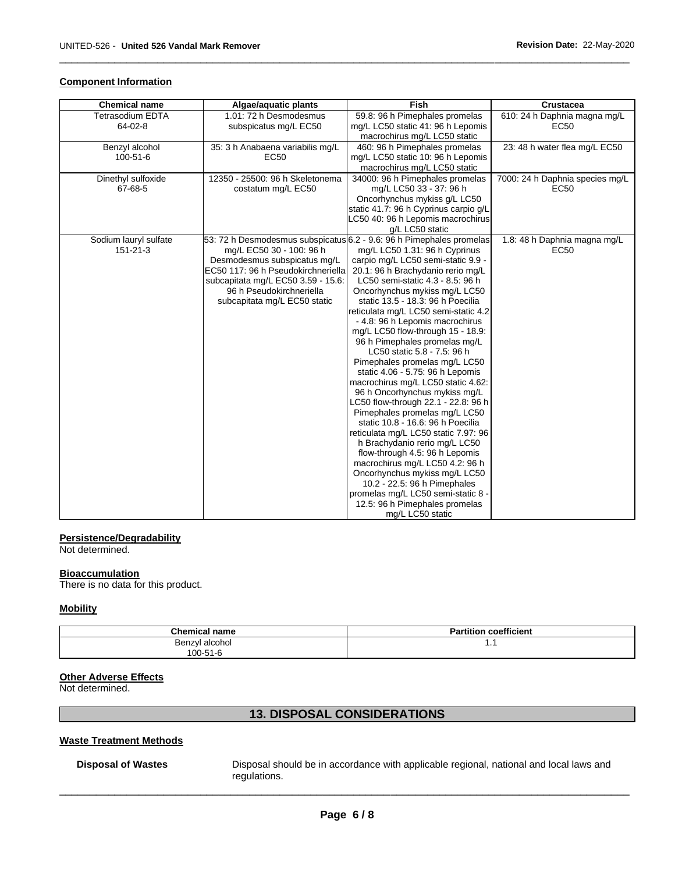# **Component Information**

| <b>Chemical name</b>    | Algae/aquatic plants               | Fish                                                                 | Crustacea                       |
|-------------------------|------------------------------------|----------------------------------------------------------------------|---------------------------------|
| <b>Tetrasodium EDTA</b> | 1.01: 72 h Desmodesmus             | 59.8: 96 h Pimephales promelas                                       | 610: 24 h Daphnia magna mg/L    |
| 64-02-8                 | subspicatus mg/L EC50              | mg/L LC50 static 41: 96 h Lepomis                                    | <b>EC50</b>                     |
|                         |                                    | macrochirus mg/L LC50 static                                         |                                 |
| Benzyl alcohol          | 35: 3 h Anabaena variabilis mg/L   | 460: 96 h Pimephales promelas                                        | 23: 48 h water flea mg/L EC50   |
| 100-51-6                | <b>EC50</b>                        | mg/L LC50 static 10: 96 h Lepomis                                    |                                 |
|                         |                                    | macrochirus mg/L LC50 static                                         |                                 |
| Dinethyl sulfoxide      | 12350 - 25500: 96 h Skeletonema    | 34000: 96 h Pimephales promelas                                      | 7000: 24 h Daphnia species mg/L |
| 67-68-5                 | costatum mg/L EC50                 | mg/L LC50 33 - 37: 96 h                                              | <b>EC50</b>                     |
|                         |                                    | Oncorhynchus mykiss g/L LC50                                         |                                 |
|                         |                                    | static 41.7: 96 h Cyprinus carpio g/L                                |                                 |
|                         |                                    | LC50 40: 96 h Lepomis macrochirus                                    |                                 |
|                         |                                    | g/L LC50 static                                                      |                                 |
| Sodium lauryl sulfate   |                                    | 53: 72 h Desmodesmus subspicatus 6.2 - 9.6: 96 h Pimephales promelas | 1.8: 48 h Daphnia magna mg/L    |
| 151-21-3                | mg/L EC50 30 - 100: 96 h           | mg/L LC50 1.31: 96 h Cyprinus                                        | EC50                            |
|                         | Desmodesmus subspicatus mg/L       | carpio mg/L LC50 semi-static 9.9 -                                   |                                 |
|                         | EC50 117: 96 h Pseudokirchneriella | 20.1: 96 h Brachydanio rerio mg/L                                    |                                 |
|                         | subcapitata mg/L EC50 3.59 - 15.6: | LC50 semi-static 4.3 - 8.5: 96 h                                     |                                 |
|                         | 96 h Pseudokirchneriella           | Oncorhynchus mykiss mg/L LC50                                        |                                 |
|                         | subcapitata mg/L EC50 static       | static 13.5 - 18.3: 96 h Poecilia                                    |                                 |
|                         |                                    | reticulata mg/L LC50 semi-static 4.2                                 |                                 |
|                         |                                    | - 4.8: 96 h Lepomis macrochirus                                      |                                 |
|                         |                                    | mg/L LC50 flow-through 15 - 18.9:                                    |                                 |
|                         |                                    | 96 h Pimephales promelas mg/L                                        |                                 |
|                         |                                    | LC50 static 5.8 - 7.5: 96 h                                          |                                 |
|                         |                                    | Pimephales promelas mg/L LC50                                        |                                 |
|                         |                                    | static 4.06 - 5.75: 96 h Lepomis                                     |                                 |
|                         |                                    | macrochirus mg/L LC50 static 4.62:                                   |                                 |
|                         |                                    | 96 h Oncorhynchus mykiss mg/L                                        |                                 |
|                         |                                    | LC50 flow-through 22.1 - 22.8: 96 h                                  |                                 |
|                         |                                    | Pimephales promelas mg/L LC50<br>static 10.8 - 16.6: 96 h Poecilia   |                                 |
|                         |                                    | reticulata mg/L LC50 static 7.97: 96                                 |                                 |
|                         |                                    | h Brachydanio rerio mg/L LC50                                        |                                 |
|                         |                                    | flow-through 4.5: 96 h Lepomis                                       |                                 |
|                         |                                    | macrochirus mg/L LC50 4.2: 96 h                                      |                                 |
|                         |                                    | Oncorhynchus mykiss mg/L LC50                                        |                                 |
|                         |                                    | 10.2 - 22.5: 96 h Pimephales                                         |                                 |
|                         |                                    | promelas mg/L LC50 semi-static 8 -                                   |                                 |
|                         |                                    | 12.5: 96 h Pimephales promelas                                       |                                 |
|                         |                                    | mg/L LC50 static                                                     |                                 |

\_\_\_\_\_\_\_\_\_\_\_\_\_\_\_\_\_\_\_\_\_\_\_\_\_\_\_\_\_\_\_\_\_\_\_\_\_\_\_\_\_\_\_\_\_\_\_\_\_\_\_\_\_\_\_\_\_\_\_\_\_\_\_\_\_\_\_\_\_\_\_\_\_\_\_\_\_\_\_\_\_\_\_\_\_\_\_\_\_\_\_\_\_

#### **Persistence/Degradability**

Not determined.

#### **Bioaccumulation**

There is no data for this product.

# **Mobility**

| <b>Chemical name</b> | <b>Partition coefficient</b> |  |  |
|----------------------|------------------------------|--|--|
| Benzyl alcohol       | .                            |  |  |
| 100-51-6             |                              |  |  |

# **Other Adverse Effects**

Not determined.

# **13. DISPOSAL CONSIDERATIONS**

# **Waste Treatment Methods**

**Disposal of Wastes** Disposal should be in accordance with applicable regional, national and local laws and regulations.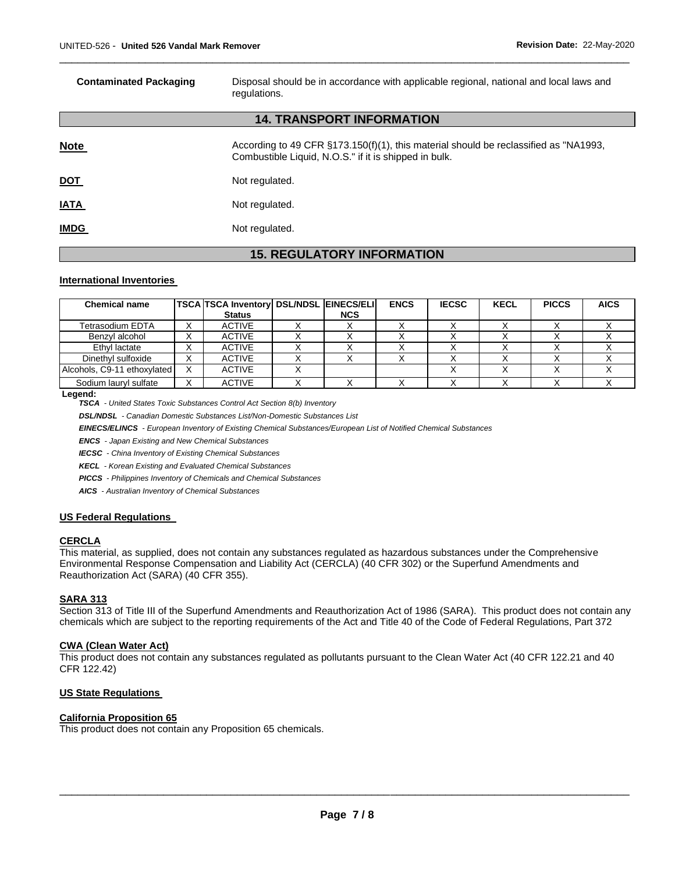| <b>Contaminated Packaging</b>    | Disposal should be in accordance with applicable regional, national and local laws and<br>regulations.                                        |  |  |  |  |  |  |
|----------------------------------|-----------------------------------------------------------------------------------------------------------------------------------------------|--|--|--|--|--|--|
| <b>14. TRANSPORT INFORMATION</b> |                                                                                                                                               |  |  |  |  |  |  |
| <b>Note</b>                      | According to 49 CFR §173.150(f)(1), this material should be reclassified as "NA1993,<br>Combustible Liquid, N.O.S." if it is shipped in bulk. |  |  |  |  |  |  |
| <u>DOT</u>                       | Not regulated.                                                                                                                                |  |  |  |  |  |  |
| <b>IATA</b>                      | Not regulated.                                                                                                                                |  |  |  |  |  |  |
| <b>IMDG</b>                      | Not regulated.                                                                                                                                |  |  |  |  |  |  |
|                                  |                                                                                                                                               |  |  |  |  |  |  |

\_\_\_\_\_\_\_\_\_\_\_\_\_\_\_\_\_\_\_\_\_\_\_\_\_\_\_\_\_\_\_\_\_\_\_\_\_\_\_\_\_\_\_\_\_\_\_\_\_\_\_\_\_\_\_\_\_\_\_\_\_\_\_\_\_\_\_\_\_\_\_\_\_\_\_\_\_\_\_\_\_\_\_\_\_\_\_\_\_\_\_\_\_

# **15. REGULATORY INFORMATION**

#### **International Inventories**

| <b>Chemical name</b>        |              | <b>TSCA TSCA Inventory DSL/NDSL EINECS/ELI</b> |            | <b>ENCS</b> | <b>IECSC</b> | <b>KECL</b> | <b>PICCS</b> | <b>AICS</b> |
|-----------------------------|--------------|------------------------------------------------|------------|-------------|--------------|-------------|--------------|-------------|
|                             |              | <b>Status</b>                                  | <b>NCS</b> |             |              |             |              |             |
| Tetrasodium EDTA            |              | <b>ACTIVE</b>                                  |            |             |              |             |              |             |
| Benzvl alcohol              |              | <b>ACTIVE</b>                                  |            |             |              |             |              |             |
| Ethyl lactate               |              | <b>ACTIVE</b>                                  |            |             |              |             |              |             |
| Dinethyl sulfoxide          | ⌒            | ACTIVE                                         |            |             |              |             |              |             |
| Alcohols, C9-11 ethoxylated | $\checkmark$ | <b>ACTIVE</b>                                  |            |             |              |             |              |             |
| Sodium lauryl sulfate       | ⌒            | <b>ACTIVE</b>                                  |            |             |              |             |              |             |

**Legend:** 

*TSCA - United States Toxic Substances Control Act Section 8(b) Inventory* 

*DSL/NDSL - Canadian Domestic Substances List/Non-Domestic Substances List* 

*EINECS/ELINCS - European Inventory of Existing Chemical Substances/European List of Notified Chemical Substances* 

*ENCS - Japan Existing and New Chemical Substances* 

*IECSC - China Inventory of Existing Chemical Substances* 

*KECL - Korean Existing and Evaluated Chemical Substances* 

*PICCS - Philippines Inventory of Chemicals and Chemical Substances* 

*AICS - Australian Inventory of Chemical Substances* 

#### **US Federal Regulations**

### **CERCLA**

This material, as supplied, does not contain any substances regulated as hazardous substances under the Comprehensive Environmental Response Compensation and Liability Act (CERCLA) (40 CFR 302) or the Superfund Amendments and Reauthorization Act (SARA) (40 CFR 355).

#### **SARA 313**

Section 313 of Title III of the Superfund Amendments and Reauthorization Act of 1986 (SARA). This product does not contain any chemicals which are subject to the reporting requirements of the Act and Title 40 of the Code of Federal Regulations, Part 372

# **CWA (Clean Water Act)**

This product does not contain any substances regulated as pollutants pursuant to the Clean Water Act (40 CFR 122.21 and 40 CFR 122.42)

#### **US State Regulations**

#### **California Proposition 65**

This product does not contain any Proposition 65 chemicals.